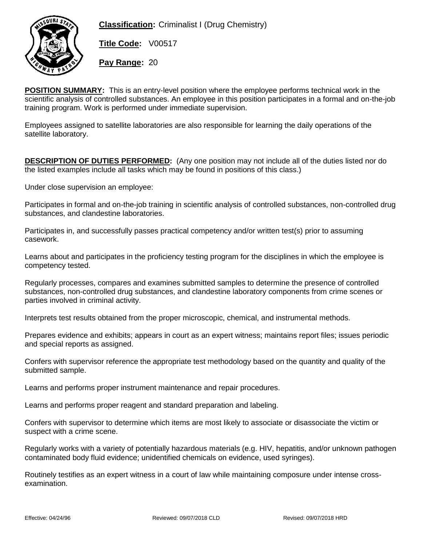

**Classification:** Criminalist I (Drug Chemistry)

**Title Code:** V00517

**Pay Range:** 20

**POSITION SUMMARY:** This is an entry-level position where the employee performs technical work in the scientific analysis of controlled substances. An employee in this position participates in a formal and on-the-job training program. Work is performed under immediate supervision.

Employees assigned to satellite laboratories are also responsible for learning the daily operations of the satellite laboratory.

**DESCRIPTION OF DUTIES PERFORMED:** (Any one position may not include all of the duties listed nor do the listed examples include all tasks which may be found in positions of this class.)

Under close supervision an employee:

Participates in formal and on-the-job training in scientific analysis of controlled substances, non-controlled drug substances, and clandestine laboratories.

Participates in, and successfully passes practical competency and/or written test(s) prior to assuming casework.

Learns about and participates in the proficiency testing program for the disciplines in which the employee is competency tested.

Regularly processes, compares and examines submitted samples to determine the presence of controlled substances, non-controlled drug substances, and clandestine laboratory components from crime scenes or parties involved in criminal activity.

Interprets test results obtained from the proper microscopic, chemical, and instrumental methods.

Prepares evidence and exhibits; appears in court as an expert witness; maintains report files; issues periodic and special reports as assigned.

Confers with supervisor reference the appropriate test methodology based on the quantity and quality of the submitted sample.

Learns and performs proper instrument maintenance and repair procedures.

Learns and performs proper reagent and standard preparation and labeling.

Confers with supervisor to determine which items are most likely to associate or disassociate the victim or suspect with a crime scene.

Regularly works with a variety of potentially hazardous materials (e.g. HIV, hepatitis, and/or unknown pathogen contaminated body fluid evidence; unidentified chemicals on evidence, used syringes).

Routinely testifies as an expert witness in a court of law while maintaining composure under intense crossexamination.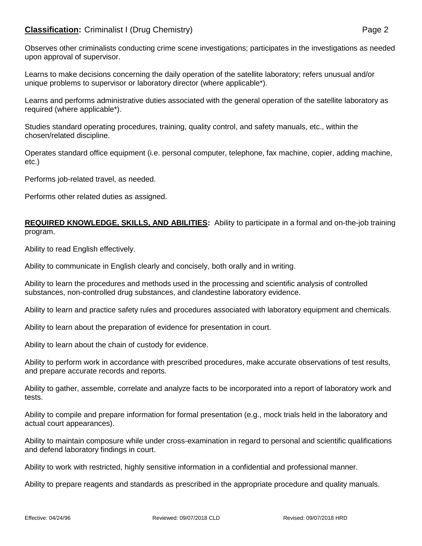## **Classification:** Criminalist I (Drug Chemistry) **Page 2** Page 2

Observes other criminalists conducting crime scene investigations; participates in the investigations as needed upon approval of supervisor.

Learns to make decisions concerning the daily operation of the satellite laboratory; refers unusual and/or unique problems to supervisor or laboratory director (where applicable\*).

Learns and performs administrative duties associated with the general operation of the satellite laboratory as required (where applicable\*).

Studies standard operating procedures, training, quality control, and safety manuals, etc., within the chosen/related discipline.

Operates standard office equipment (i.e. personal computer, telephone, fax machine, copier, adding machine, etc.)

Performs job-related travel, as needed.

Performs other related duties as assigned.

**REQUIRED KNOWLEDGE, SKILLS, AND ABILITIES:** Ability to participate in a formal and on-the-job training program.

Ability to read English effectively.

Ability to communicate in English clearly and concisely, both orally and in writing.

Ability to learn the procedures and methods used in the processing and scientific analysis of controlled substances, non-controlled drug substances, and clandestine laboratory evidence.

Ability to learn and practice safety rules and procedures associated with laboratory equipment and chemicals.

Ability to learn about the preparation of evidence for presentation in court.

Ability to learn about the chain of custody for evidence.

Ability to perform work in accordance with prescribed procedures, make accurate observations of test results, and prepare accurate records and reports.

Ability to gather, assemble, correlate and analyze facts to be incorporated into a report of laboratory work and tests.

Ability to compile and prepare information for formal presentation (e.g., mock trials held in the laboratory and actual court appearances).

Ability to maintain composure while under cross-examination in regard to personal and scientific qualifications and defend laboratory findings in court.

Ability to work with restricted, highly sensitive information in a confidential and professional manner.

Ability to prepare reagents and standards as prescribed in the appropriate procedure and quality manuals.